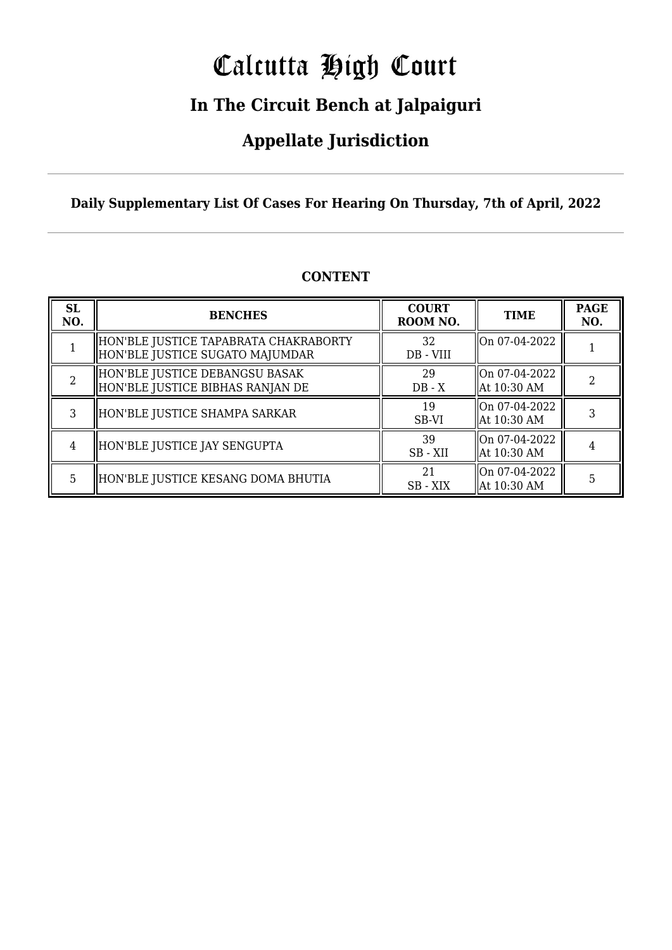# Calcutta High Court

### **In The Circuit Bench at Jalpaiguri**

### **Appellate Jurisdiction**

**Daily Supplementary List Of Cases For Hearing On Thursday, 7th of April, 2022**

| <b>SL</b><br>NO. | <b>BENCHES</b>                                                           | <b>COURT</b><br>ROOM NO. | <b>TIME</b>                    | <b>PAGE</b><br>NO. |
|------------------|--------------------------------------------------------------------------|--------------------------|--------------------------------|--------------------|
|                  | HON'BLE JUSTICE TAPABRATA CHAKRABORTY<br>HON'BLE JUSTICE SUGATO MAJUMDAR | 32<br>DB - VIII          | On 07-04-2022                  |                    |
|                  | HON'BLE JUSTICE DEBANGSU BASAK <br>HON'BLE JUSTICE BIBHAS RANJAN DE      | 29<br>$DB - X$           | On 07-04-2022<br>  At 10:30 AM |                    |
| 3                | HON'BLE JUSTICE SHAMPA SARKAR                                            | 19<br>SB-VI              | On 07-04-2022<br>  At 10:30 AM |                    |
| $\overline{4}$   | HON'BLE JUSTICE JAY SENGUPTA                                             | 39<br>SB - XII           | On 07-04-2022<br>  At 10:30 AM |                    |
| 5.               | HON'BLE JUSTICE KESANG DOMA BHUTIA                                       | 21<br>SB - XIX           | lOn 07-04-2022<br>At 10:30 AM  |                    |

#### **CONTENT**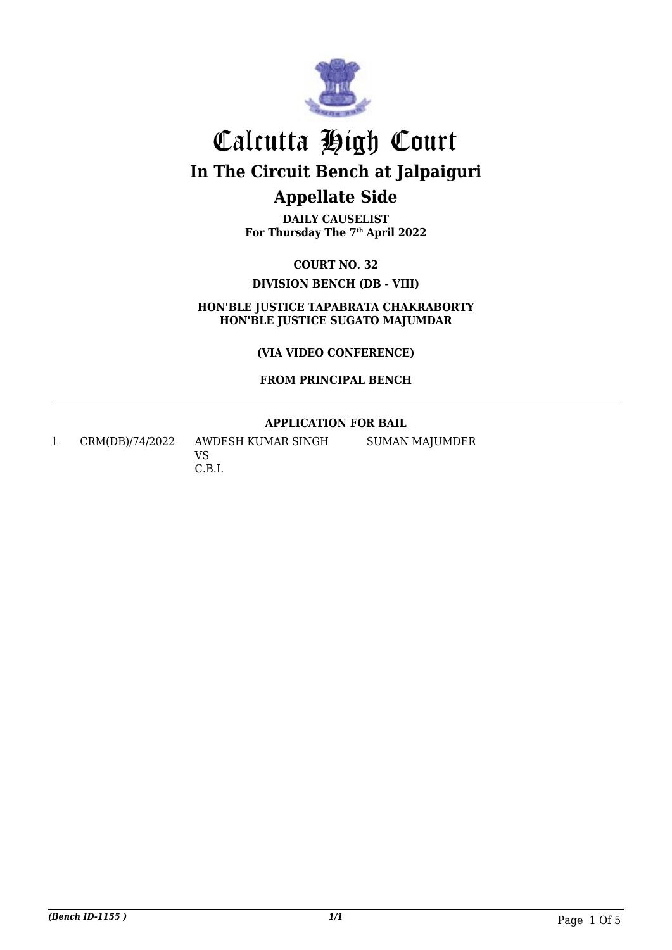

**DAILY CAUSELIST For Thursday The 7th April 2022**

**COURT NO. 32 DIVISION BENCH (DB - VIII)**

**HON'BLE JUSTICE TAPABRATA CHAKRABORTY HON'BLE JUSTICE SUGATO MAJUMDAR**

**(VIA VIDEO CONFERENCE)**

**FROM PRINCIPAL BENCH**

#### **APPLICATION FOR BAIL**

1 CRM(DB)/74/2022 AWDESH KUMAR SINGH

VS C.B.I. SUMAN MAJUMDER

*(Bench ID-1155 ) 1/1* Page 1 Of 5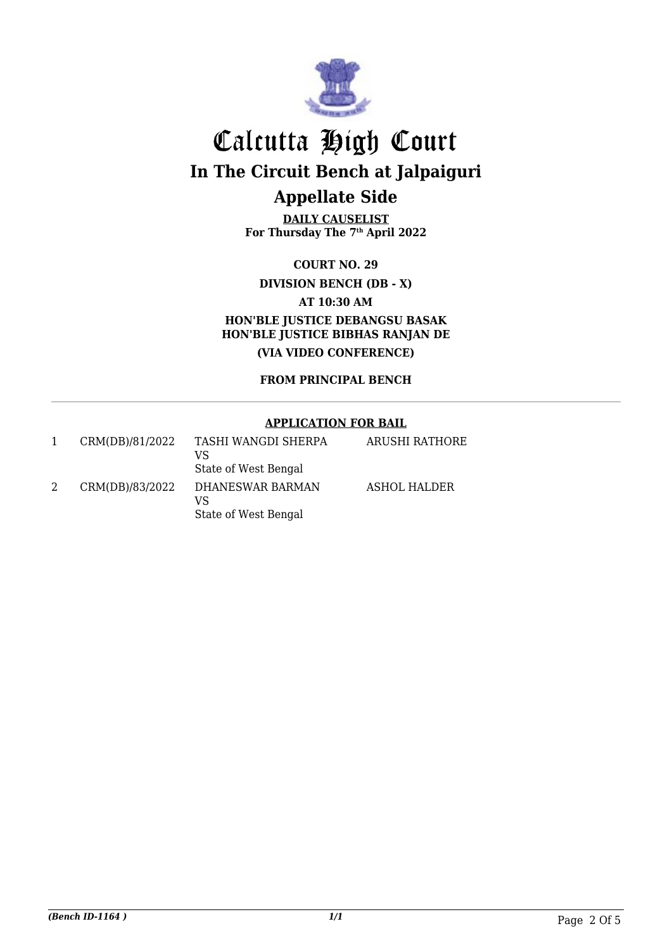

**DAILY CAUSELIST For Thursday The 7th April 2022**

**COURT NO. 29**

**DIVISION BENCH (DB - X)**

**AT 10:30 AM**

**HON'BLE JUSTICE DEBANGSU BASAK HON'BLE JUSTICE BIBHAS RANJAN DE (VIA VIDEO CONFERENCE)**

**FROM PRINCIPAL BENCH**

#### **APPLICATION FOR BAIL**

| CRM(DB)/81/2022 | TASHI WANGDI SHERPA<br>VS<br>State of West Bengal | ARUSHI RATHORE |
|-----------------|---------------------------------------------------|----------------|
| CRM(DB)/83/2022 | DHANESWAR BARMAN<br>VS<br>State of West Bengal    | ASHOL HALDER   |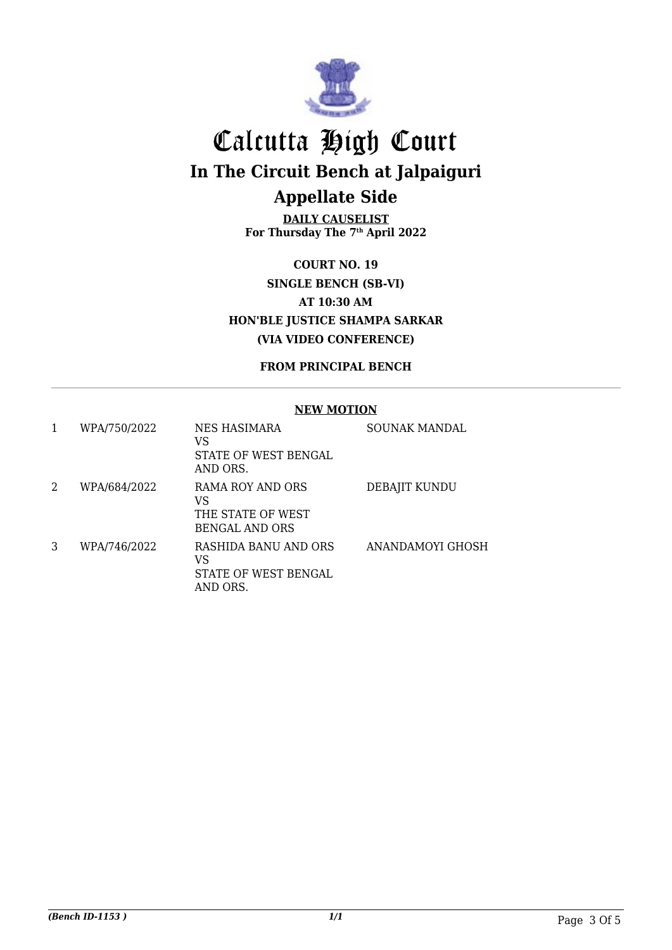

**DAILY CAUSELIST For Thursday The 7th April 2022**

**COURT NO. 19 SINGLE BENCH (SB-VI) AT 10:30 AM HON'BLE JUSTICE SHAMPA SARKAR (VIA VIDEO CONFERENCE)**

**FROM PRINCIPAL BENCH**

#### **NEW MOTION**

| 1 | WPA/750/2022 | NES HASIMARA<br>VS<br>STATE OF WEST BENGAL<br>AND ORS.               | <b>SOUNAK MANDAL</b>    |
|---|--------------|----------------------------------------------------------------------|-------------------------|
| 2 | WPA/684/2022 | RAMA ROY AND ORS<br>VS<br>THE STATE OF WEST<br><b>BENGAL AND ORS</b> | DEBAJIT KUNDU           |
| 3 | WPA/746/2022 | RASHIDA BANU AND ORS<br>VS<br>STATE OF WEST BENGAL<br>AND ORS.       | <b>ANANDAMOYI GHOSH</b> |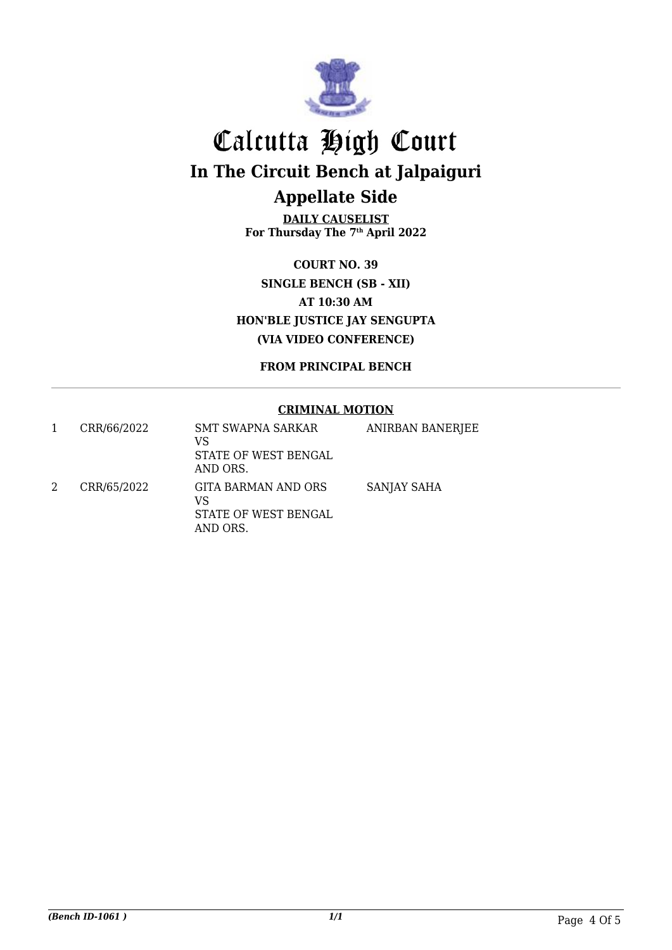

**DAILY CAUSELIST For Thursday The 7th April 2022**

**COURT NO. 39 SINGLE BENCH (SB - XII) AT 10:30 AM HON'BLE JUSTICE JAY SENGUPTA (VIA VIDEO CONFERENCE)**

**FROM PRINCIPAL BENCH**

#### **CRIMINAL MOTION**

|   | CRR/66/2022 | <b>SMT SWAPNA SARKAR</b><br>VS<br>STATE OF WEST BENGAL<br>AND ORS.   | <b>ANIRBAN BANERJEE</b> |
|---|-------------|----------------------------------------------------------------------|-------------------------|
| 2 | CRR/65/2022 | <b>GITA BARMAN AND ORS</b><br>VS<br>STATE OF WEST BENGAL<br>AND ORS. | SANJAY SAHA             |